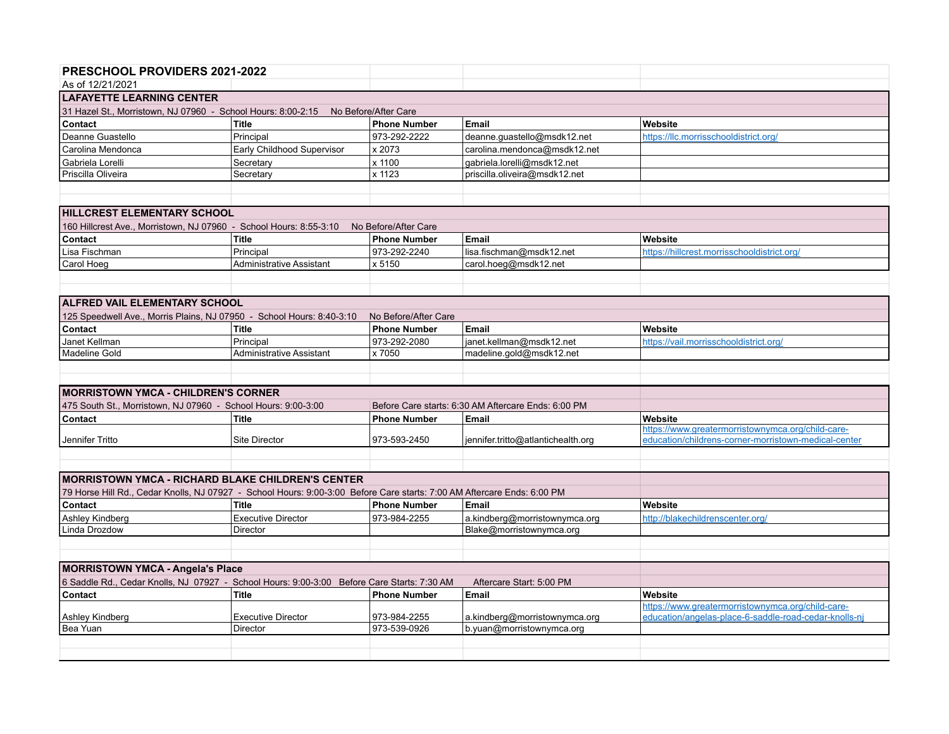| <b>PRESCHOOL PROVIDERS 2021-2022</b>                                                                                    |                                       |                      |                                                           |                                                       |  |  |  |  |
|-------------------------------------------------------------------------------------------------------------------------|---------------------------------------|----------------------|-----------------------------------------------------------|-------------------------------------------------------|--|--|--|--|
| As of 12/21/2021                                                                                                        |                                       |                      |                                                           |                                                       |  |  |  |  |
| <b>LAFAYETTE LEARNING CENTER</b>                                                                                        |                                       |                      |                                                           |                                                       |  |  |  |  |
| 31 Hazel St., Morristown, NJ 07960 - School Hours: 8:00-2:15 No Before/After Care                                       |                                       |                      |                                                           |                                                       |  |  |  |  |
| Contact                                                                                                                 | <b>Title</b>                          | <b>Phone Number</b>  | Email                                                     | Website                                               |  |  |  |  |
| Deanne Guastello                                                                                                        | Principal                             | 973-292-2222         | deanne.guastello@msdk12.net                               | https://llc.morrisschooldistrict.org/                 |  |  |  |  |
| Carolina Mendonca                                                                                                       | Early Childhood Supervisor            | x 2073               | carolina.mendonca@msdk12.net                              |                                                       |  |  |  |  |
| Gabriela Lorelli                                                                                                        | Secretary                             | x 1100               | gabriela.lorelli@msdk12.net                               |                                                       |  |  |  |  |
| Priscilla Oliveira                                                                                                      | Secretary                             | x 1123               | priscilla.oliveira@msdk12.net                             |                                                       |  |  |  |  |
|                                                                                                                         |                                       |                      |                                                           |                                                       |  |  |  |  |
|                                                                                                                         |                                       |                      |                                                           |                                                       |  |  |  |  |
| <b>IHILLCREST ELEMENTARY SCHOOL</b>                                                                                     |                                       |                      |                                                           |                                                       |  |  |  |  |
| 160 Hillcrest Ave., Morristown, NJ 07960 - School Hours: 8:55-3:10                                                      |                                       | No Before/After Care |                                                           |                                                       |  |  |  |  |
| Contact                                                                                                                 | <b>Title</b>                          | <b>Phone Number</b>  | Email                                                     | Website                                               |  |  |  |  |
| Lisa Fischman                                                                                                           | Principal                             | 973-292-2240         | lisa.fischman@msdk12.net                                  | https://hillcrest.morrisschooldistrict.org/           |  |  |  |  |
| Carol Hoeg                                                                                                              | <b>Administrative Assistant</b>       | x 5150               | carol.hoeg@msdk12.net                                     |                                                       |  |  |  |  |
|                                                                                                                         |                                       |                      |                                                           |                                                       |  |  |  |  |
|                                                                                                                         |                                       |                      |                                                           |                                                       |  |  |  |  |
| <b>ALFRED VAIL ELEMENTARY SCHOOL</b>                                                                                    |                                       |                      |                                                           |                                                       |  |  |  |  |
| 125 Speedwell Ave., Morris Plains, NJ 07950 - School Hours: 8:40-3:10                                                   |                                       | No Before/After Care |                                                           |                                                       |  |  |  |  |
| Contact                                                                                                                 | <b>Title</b>                          | <b>Phone Number</b>  | <b>Email</b>                                              | Website                                               |  |  |  |  |
| Janet Kellman                                                                                                           | Principal                             | 973-292-2080         | janet.kellman@msdk12.net                                  | https://vail.morrisschooldistrict.org/                |  |  |  |  |
| <b>Madeline Gold</b>                                                                                                    | <b>Administrative Assistant</b>       | x 7050               | madeline.gold@msdk12.net                                  |                                                       |  |  |  |  |
|                                                                                                                         |                                       |                      |                                                           |                                                       |  |  |  |  |
|                                                                                                                         |                                       |                      |                                                           |                                                       |  |  |  |  |
| <b>MORRISTOWN YMCA - CHILDREN'S CORNER</b>                                                                              |                                       |                      |                                                           |                                                       |  |  |  |  |
| 475 South St., Morristown, NJ 07960 - School Hours: 9:00-3:00                                                           |                                       |                      | Before Care starts: 6:30 AM Aftercare Ends: 6:00 PM       |                                                       |  |  |  |  |
| Contact                                                                                                                 | <b>Title</b>                          | <b>Phone Number</b>  | <b>Email</b>                                              | Website                                               |  |  |  |  |
|                                                                                                                         |                                       |                      |                                                           | https://www.greatermorristownymca.org/child-care-     |  |  |  |  |
| Jennifer Tritto                                                                                                         | <b>Site Director</b>                  | 973-593-2450         | jennifer.tritto@atlantichealth.org                        | education/childrens-corner-morristown-medical-center  |  |  |  |  |
|                                                                                                                         |                                       |                      |                                                           |                                                       |  |  |  |  |
| <b>IMORRISTOWN YMCA - RICHARD BLAKE CHILDREN'S CENTER</b>                                                               |                                       |                      |                                                           |                                                       |  |  |  |  |
|                                                                                                                         |                                       |                      |                                                           |                                                       |  |  |  |  |
| 79 Horse Hill Rd., Cedar Knolls, NJ 07927 - School Hours: 9:00-3:00 Before Care starts: 7:00 AM Aftercare Ends: 6:00 PM |                                       |                      |                                                           |                                                       |  |  |  |  |
| Contact                                                                                                                 | <b>Title</b>                          | <b>Phone Number</b>  | <b>Email</b>                                              | Website                                               |  |  |  |  |
| Ashley Kindberg<br>Linda Drozdow                                                                                        | <b>Executive Director</b><br>Director | 973-984-2255         | a.kindberg@morristownymca.org<br>Blake@morristownymca.org | http://blakechildrenscenter.org/                      |  |  |  |  |
|                                                                                                                         |                                       |                      |                                                           |                                                       |  |  |  |  |
|                                                                                                                         |                                       |                      |                                                           |                                                       |  |  |  |  |
| MORRISTOWN YMCA - Angela's Place                                                                                        |                                       |                      |                                                           |                                                       |  |  |  |  |
| 6 Saddle Rd., Cedar Knolls, NJ 07927 - School Hours: 9:00-3:00 Before Care Starts: 7:30 AM                              |                                       |                      | Aftercare Start: 5:00 PM                                  |                                                       |  |  |  |  |
| Contact                                                                                                                 | <b>Title</b>                          | <b>Phone Number</b>  | Email                                                     | Website                                               |  |  |  |  |
|                                                                                                                         |                                       |                      |                                                           | https://www.greatermorristownymca.org/child-care-     |  |  |  |  |
| Ashley Kindberg                                                                                                         | <b>Executive Director</b>             | 973-984-2255         | a.kindberg@morristownymca.org                             | education/angelas-place-6-saddle-road-cedar-knolls-nj |  |  |  |  |
| Bea Yuan                                                                                                                | Director                              | 973-539-0926         | b.yuan@morristownymca.org                                 |                                                       |  |  |  |  |
|                                                                                                                         |                                       |                      |                                                           |                                                       |  |  |  |  |
|                                                                                                                         |                                       |                      |                                                           |                                                       |  |  |  |  |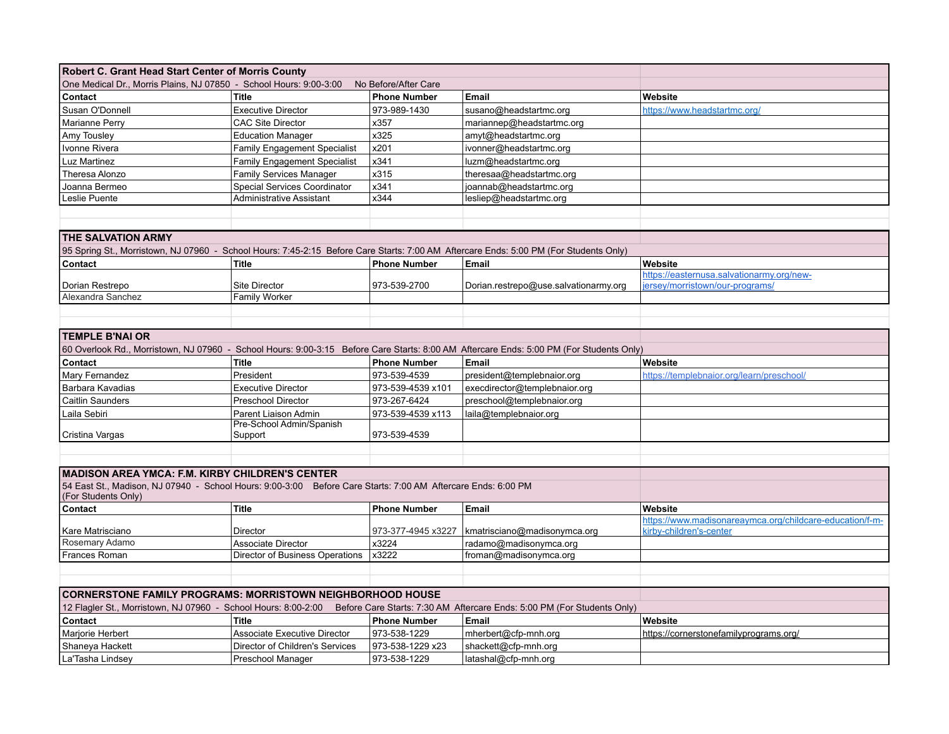| Robert C. Grant Head Start Center of Morris County                                                                                  |                                     |                      |                                                                                                                                         |                                                          |
|-------------------------------------------------------------------------------------------------------------------------------------|-------------------------------------|----------------------|-----------------------------------------------------------------------------------------------------------------------------------------|----------------------------------------------------------|
| One Medical Dr., Morris Plains, NJ 07850 - School Hours: 9:00-3:00                                                                  |                                     | No Before/After Care |                                                                                                                                         |                                                          |
| Contact                                                                                                                             | <b>Title</b>                        | <b>Phone Number</b>  | Email                                                                                                                                   | Website                                                  |
| Susan O'Donnell                                                                                                                     | <b>Executive Director</b>           | 973-989-1430         | susano@headstartmc.org                                                                                                                  | https://www.headstartmc.org/                             |
| Marianne Perry                                                                                                                      | <b>CAC Site Director</b>            | x357                 | mariannep@headstartmc.org                                                                                                               |                                                          |
| Amy Tousley                                                                                                                         | <b>Education Manager</b>            | x325                 | amyt@headstartmc.org                                                                                                                    |                                                          |
| Ivonne Rivera                                                                                                                       | <b>Family Engagement Specialist</b> | x201                 | ivonner@headstartmc.org                                                                                                                 |                                                          |
| Luz Martinez                                                                                                                        | <b>Family Engagement Specialist</b> | x341                 | luzm@headstartmc.org                                                                                                                    |                                                          |
| Theresa Alonzo                                                                                                                      | <b>Family Services Manager</b>      | x315                 | theresaa@headstartmc.org                                                                                                                |                                                          |
| Joanna Bermeo                                                                                                                       | <b>Special Services Coordinator</b> | x341                 | joannab@headstartmc.org                                                                                                                 |                                                          |
| Leslie Puente                                                                                                                       | <b>Administrative Assistant</b>     | x344                 | lesliep@headstartmc.org                                                                                                                 |                                                          |
|                                                                                                                                     |                                     |                      |                                                                                                                                         |                                                          |
|                                                                                                                                     |                                     |                      |                                                                                                                                         |                                                          |
| <b>THE SALVATION ARMY</b>                                                                                                           |                                     |                      |                                                                                                                                         |                                                          |
|                                                                                                                                     |                                     |                      | 95 Spring St., Morristown, NJ 07960 - School Hours: 7:45-2:15 Before Care Starts: 7:00 AM Aftercare Ends: 5:00 PM (For Students Only)   |                                                          |
| Contact                                                                                                                             | Title                               | <b>Phone Number</b>  | Email                                                                                                                                   | Website                                                  |
|                                                                                                                                     |                                     |                      |                                                                                                                                         | https://easternusa.salvationarmy.org/new-                |
| Dorian Restrepo                                                                                                                     | Site Director                       | 973-539-2700         | Dorian.restrepo@use.salvationarmy.org                                                                                                   | iersey/morristown/our-programs/                          |
| Alexandra Sanchez                                                                                                                   | <b>Family Worker</b>                |                      |                                                                                                                                         |                                                          |
|                                                                                                                                     |                                     |                      |                                                                                                                                         |                                                          |
|                                                                                                                                     |                                     |                      |                                                                                                                                         |                                                          |
| <b>TEMPLE B'NAI OR</b>                                                                                                              |                                     |                      |                                                                                                                                         |                                                          |
|                                                                                                                                     |                                     |                      | 60 Overlook Rd., Morristown, NJ 07960 - School Hours: 9:00-3:15 Before Care Starts: 8:00 AM Aftercare Ends: 5:00 PM (For Students Only) |                                                          |
| Contact                                                                                                                             | <b>Title</b>                        | <b>Phone Number</b>  | Email                                                                                                                                   | Website                                                  |
| Mary Fernandez                                                                                                                      | President                           | 973-539-4539         | president@templebnaior.org                                                                                                              | https://templebnaior.org/learn/preschool/                |
| Barbara Kavadias                                                                                                                    | <b>Executive Director</b>           | 973-539-4539 x101    | execdirector@templebnaior.org                                                                                                           |                                                          |
| Caitlin Saunders                                                                                                                    | <b>Preschool Director</b>           | 973-267-6424         | preschool@templebnaior.org                                                                                                              |                                                          |
| Laila Sebiri                                                                                                                        | Parent Liaison Admin                | 973-539-4539 x113    | laila@templebnaior.org                                                                                                                  |                                                          |
|                                                                                                                                     | Pre-School Admin/Spanish            |                      |                                                                                                                                         |                                                          |
| Cristina Vargas                                                                                                                     | Support                             | 973-539-4539         |                                                                                                                                         |                                                          |
|                                                                                                                                     |                                     |                      |                                                                                                                                         |                                                          |
|                                                                                                                                     |                                     |                      |                                                                                                                                         |                                                          |
| <b>MADISON AREA YMCA: F.M. KIRBY CHILDREN'S CENTER</b>                                                                              |                                     |                      |                                                                                                                                         |                                                          |
| 54 East St., Madison, NJ 07940 - School Hours: 9:00-3:00 Before Care Starts: 7:00 AM Aftercare Ends: 6:00 PM<br>(For Students Only) |                                     |                      |                                                                                                                                         |                                                          |
| Contact                                                                                                                             | Title                               | <b>Phone Number</b>  | Email                                                                                                                                   | Website                                                  |
|                                                                                                                                     |                                     |                      |                                                                                                                                         | https://www.madisonareaymca.org/childcare-education/f-m- |
| Kare Matrisciano                                                                                                                    | Director                            | 973-377-4945 x3227   | kmatrisciano@madisonymca.org                                                                                                            | kirby-children's-center                                  |
| Rosemary Adamo                                                                                                                      | <b>Associate Director</b>           | x3224                | radamo@madisonymca.org                                                                                                                  |                                                          |
| Frances Roman                                                                                                                       | Director of Business Operations     | x3222                | froman@madisonymca.org                                                                                                                  |                                                          |
|                                                                                                                                     |                                     |                      |                                                                                                                                         |                                                          |
|                                                                                                                                     |                                     |                      |                                                                                                                                         |                                                          |
| <b>CORNERSTONE FAMILY PROGRAMS: MORRISTOWN NEIGHBORHOOD HOUSE</b>                                                                   |                                     |                      |                                                                                                                                         |                                                          |
| 12 Flagler St., Morristown, NJ 07960 - School Hours: 8:00-2:00                                                                      |                                     |                      | Before Care Starts: 7:30 AM Aftercare Ends: 5:00 PM (For Students Only)                                                                 |                                                          |
| Contact                                                                                                                             | Title                               | <b>Phone Number</b>  | Email                                                                                                                                   | Website                                                  |
| Marjorie Herbert                                                                                                                    | <b>Associate Executive Director</b> | 973-538-1229         | mherbert@cfp-mnh.org                                                                                                                    | https://cornerstonefamilyprograms.org/                   |
| Shaneya Hackett                                                                                                                     | Director of Children's Services     | 973-538-1229 x23     | shackett@cfp-mnh.org                                                                                                                    |                                                          |
| La'Tasha Lindsey                                                                                                                    | Preschool Manager                   | 973-538-1229         | latashal@cfp-mnh.org                                                                                                                    |                                                          |